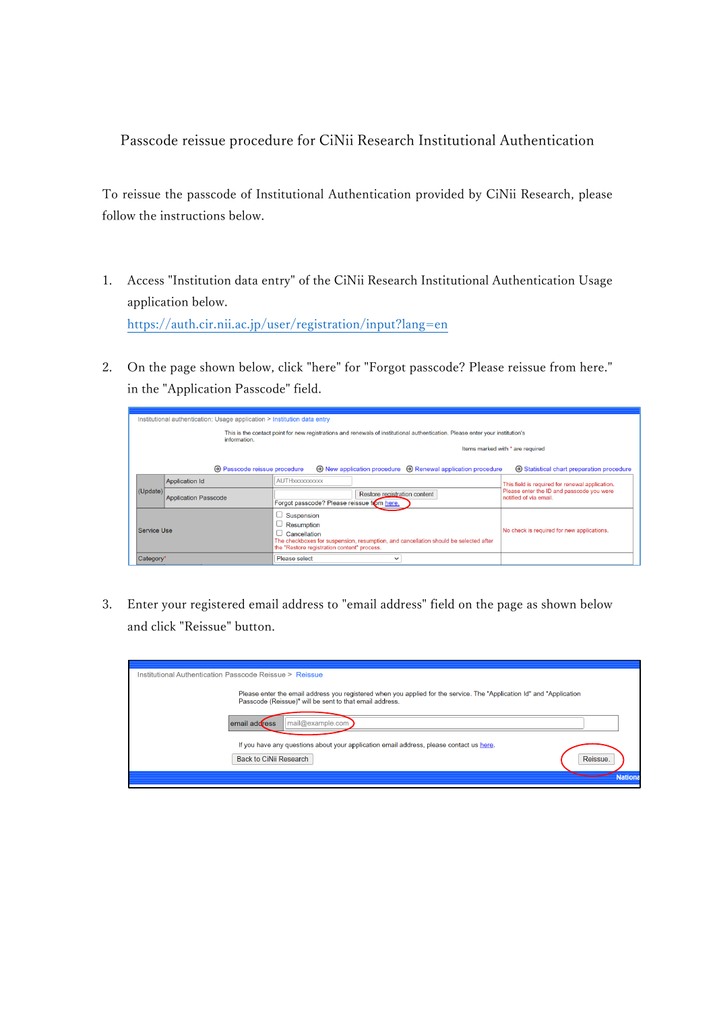Passcode reissue procedure for CiNii Research Institutional Authentication

To reissue the passcode of Institutional Authentication provided by CiNii Research, please follow the instructions below.

- 1. Access "Institution data entry" of the CiNii Research Institutional Authentication Usage application below. <https://auth.cir.nii.ac.jp/user/registration/input?lang=en>
- 2. On the page shown below, click "here" for "Forgot passcode? Please reissue from here." in the "Application Passcode" field.

|             | Institutional authentication: Usage application > Institution data entry                                                                      |                                                                                                                                                                                 |                                                                     |  |  |  |
|-------------|-----------------------------------------------------------------------------------------------------------------------------------------------|---------------------------------------------------------------------------------------------------------------------------------------------------------------------------------|---------------------------------------------------------------------|--|--|--|
|             | This is the contact point for new registrations and renewals of institutional authentication. Please enter your institution's<br>information. |                                                                                                                                                                                 |                                                                     |  |  |  |
|             |                                                                                                                                               |                                                                                                                                                                                 | Items marked with * are required                                    |  |  |  |
|             | $\Theta$ Passcode reissue procedure                                                                                                           | $\odot$ New application procedure $\odot$ Renewal application procedure                                                                                                         | $\Theta$ Statistical chart preparation procedure                    |  |  |  |
|             | <b>Application Id</b>                                                                                                                         | AUTHXXXXXXXXXX                                                                                                                                                                  | This field is required for renewal application.                     |  |  |  |
| (Update)    | <b>Application Passcode</b>                                                                                                                   | Restore registration content<br>Forgot passcode? Please reissue from here.                                                                                                      | Please enter the ID and passcode you were<br>notified of via email. |  |  |  |
| Service Use |                                                                                                                                               | Suspension<br>Resumption<br>Cancellation<br>The checkboxes for suspension, resumption, and cancellation should be selected after<br>the "Restore registration content" process. | No check is required for new applications.                          |  |  |  |
| Category*   |                                                                                                                                               | Please select<br>$\check{ }$                                                                                                                                                    |                                                                     |  |  |  |

3. Enter your registered email address to "email address" field on the page as shown below and click "Reissue" button.

| Institutional Authentication Passcode Reissue > Reissue |                                                                                                                                                                                  |  |  |  |
|---------------------------------------------------------|----------------------------------------------------------------------------------------------------------------------------------------------------------------------------------|--|--|--|
|                                                         | Please enter the email address you registered when you applied for the service. The "Application Id" and "Application<br>Passcode (Reissue)" will be sent to that email address. |  |  |  |
|                                                         | mail@example.com<br>email address                                                                                                                                                |  |  |  |
|                                                         | If you have any questions about your application email address, please contact us here.<br>Back to CiNii Research<br>Reissue.<br><b>Nation</b>                                   |  |  |  |